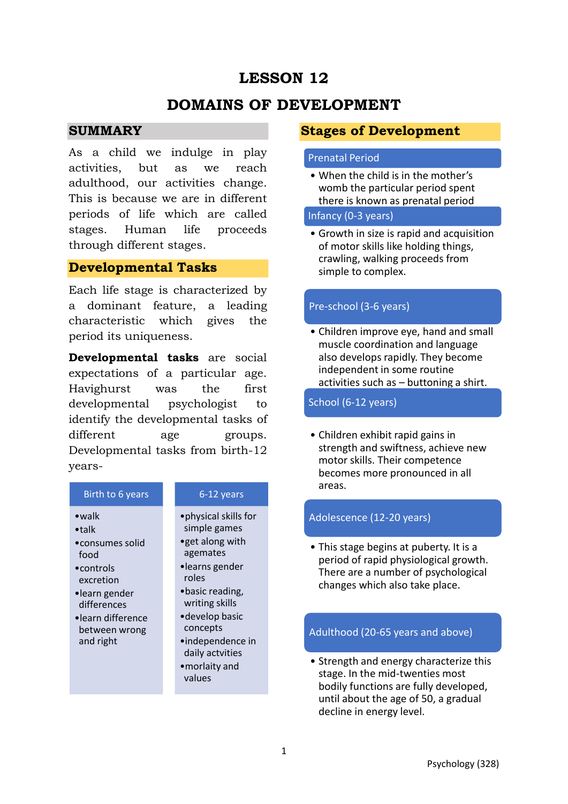# **LESSON 12**

# **DOMAINS OF DEVELOPMENT**

### **SUMMARY**

As a child we indulge in play activities, but as we reach adulthood, our activities change. This is because we are in different periods of life which are called stages. Human life proceeds through different stages.

## **Developmental Tasks**

Each life stage is characterized by a dominant feature, a leading characteristic which gives the period its uniqueness.

**Developmental tasks** are social expectations of a particular age. Havighurst was the first developmental psychologist to identify the developmental tasks of different age groups. Developmental tasks from birth-12 years-



•morlaity and values

## **Stages of Development**

#### Prenatal Period

• When the child is in the mother's womb the particular period spent there is known as prenatal period

Infancy (0-3 years)

• Growth in size is rapid and acquisition of motor skills like holding things, crawling, walking proceeds from simple to complex.

### Pre-school (3-6 years)

• Children improve eye, hand and small muscle coordination and language also develops rapidly. They become independent in some routine activities such as – buttoning a shirt.

### School (6-12 years)

• Children exhibit rapid gains in strength and swiftness, achieve new motor skills. Their competence becomes more pronounced in all areas.

#### Adolescence (12-20 years)

• This stage begins at puberty. It is a period of rapid physiological growth. There are a number of psychological changes which also take place.

### Adulthood (20-65 years and above)

• Strength and energy characterize this stage. In the mid-twenties most bodily functions are fully developed, until about the age of 50, a gradual decline in energy level.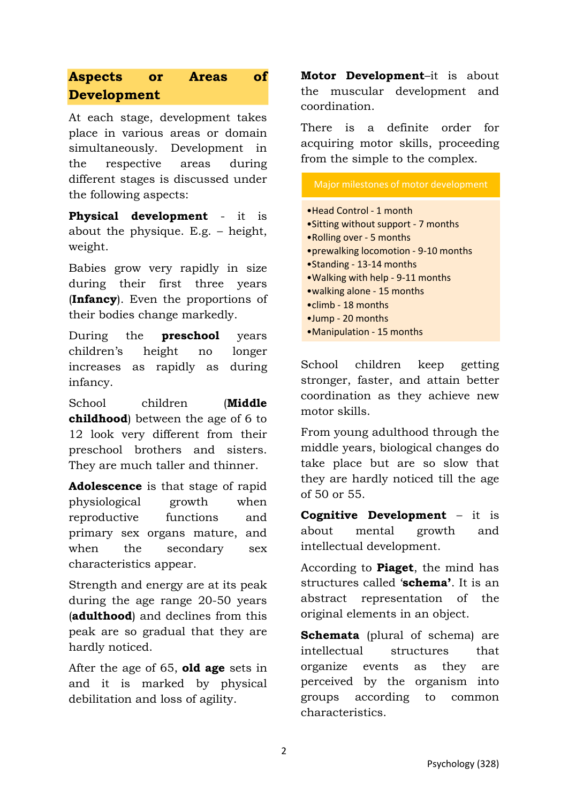# **Aspects or Areas of Development**

At each stage, development takes place in various areas or domain simultaneously. Development in the respective areas during different stages is discussed under the following aspects:

**Physical development** - it is about the physique. E.g. – height, weight.

Babies grow very rapidly in size during their first three years (**Infancy**). Even the proportions of their bodies change markedly.

During the **preschool** years children's height no longer increases as rapidly as during infancy.

School children (**Middle childhood**) between the age of 6 to 12 look very different from their preschool brothers and sisters. They are much taller and thinner.

**Adolescence** is that stage of rapid physiological growth when reproductive functions and primary sex organs mature, and when the secondary sex characteristics appear.

Strength and energy are at its peak during the age range 20-50 years (**adulthood**) and declines from this peak are so gradual that they are hardly noticed.

After the age of 65, **old age** sets in and it is marked by physical debilitation and loss of agility.

**Motor Development**–it is about the muscular development and coordination.

There is a definite order for acquiring motor skills, proceeding from the simple to the complex.

| Major milestones of motor development                                                                                                                                                                                                                                                                                 |
|-----------------------------------------------------------------------------------------------------------------------------------------------------------------------------------------------------------------------------------------------------------------------------------------------------------------------|
| • Head Control - 1 month<br>.Sitting without support - 7 months<br>.Rolling over - 5 months<br>• prewalking locomotion - 9-10 months<br>•Standing - 13-14 months<br>. Walking with help - 9-11 months<br>• walking alone - 15 months<br>$\bullet$ climb - 18 months<br>•Jump - 20 months<br>•Manipulation - 15 months |
|                                                                                                                                                                                                                                                                                                                       |

School children keep getting stronger, faster, and attain better coordination as they achieve new motor skills.

From young adulthood through the middle years, biological changes do take place but are so slow that they are hardly noticed till the age of 50 or 55.

**Cognitive Development** – it is about mental growth and intellectual development.

According to **Piaget**, the mind has structures called '**schema'**. It is an abstract representation of the original elements in an object.

**Schemata** (plural of schema) are intellectual structures that organize events as they are perceived by the organism into groups according to common characteristics.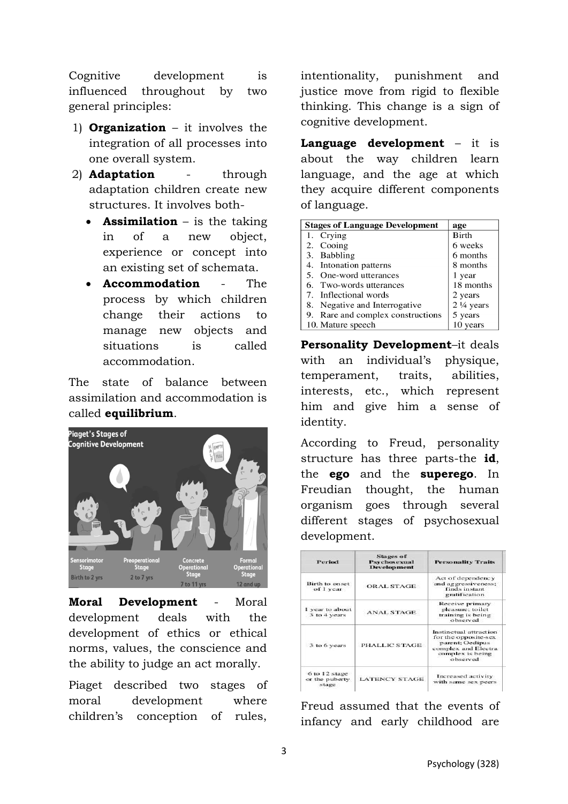Cognitive development is influenced throughout by two general principles:

- 1) **Organization** it involves the integration of all processes into one overall system.
- 2) **Adaptation** through adaptation children create new structures. It involves both-
	- **Assimilation** is the taking in of a new object, experience or concept into an existing set of schemata.
	- **Accommodation** The process by which children change their actions to manage new objects and situations is called accommodation.

The state of balance between assimilation and accommodation is called **equilibrium**.



**Moral Development** - Moral development deals with the development of ethics or ethical norms, values, the conscience and the ability to judge an act morally.

Piaget described two stages of moral development where children's conception of rules,

intentionality, punishment and justice move from rigid to flexible thinking. This change is a sign of cognitive development.

**Language development** – it is about the way children learn language, and the age at which they acquire different components of language.

| <b>Stages of Language Development</b> | age                  |
|---------------------------------------|----------------------|
| 1. Crying                             | <b>Birth</b>         |
| 2. Cooing                             | 6 weeks              |
| 3. Babbling                           | 6 months             |
| 4. Intonation patterns                | 8 months             |
| 5. One-word utterances                | 1 year               |
| 6. Two-words utterances               | 18 months            |
| 7. Inflectional words                 | 2 years              |
| 8. Negative and Interrogative         | $2\frac{1}{4}$ years |
| 9. Rare and complex constructions     | 5 years              |
| 10. Mature speech                     | 10 years             |

**Personality Development**–it deals with an individual's physique, temperament, traits, abilities, interests, etc., which represent him and give him a sense of identity.

According to Freud, personality structure has three parts-the **id**, the **ego** and the **superego**. In Freudian thought, the human organism goes through several different stages of psychosexual development.

| Period                                    | <b>Stages of</b><br>Psychosexual<br><b>Development</b> | <b>Personality Traits</b>                                                                                                |
|-------------------------------------------|--------------------------------------------------------|--------------------------------------------------------------------------------------------------------------------------|
| <b>Birth to onset</b><br>of I year        | ORAL STAGE                                             | Act of dependency<br>and aggressiveness:<br>finds instant<br>gratification                                               |
| I year to about<br>3 to 4 years           | <b>ANAL STAGE</b>                                      | Receive primary<br>pleasure; toilet<br>training is being<br>observed                                                     |
| 3 to 6 years                              | PHALLIC STAGE                                          | Instinctual attraction<br>for the opposite-sex<br>parent: Oedipus<br>complex and Electra<br>complex is being<br>observed |
| 6 to 12 stage<br>or the puberty.<br>stage | <b>LATENCY STAGE</b>                                   | Increased activity<br>with same sex peers                                                                                |

Freud assumed that the events of infancy and early childhood are